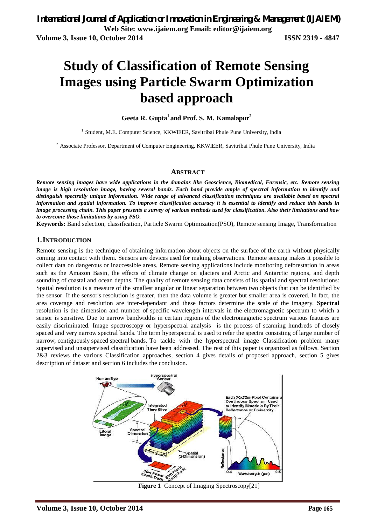# **Study of Classification of Remote Sensing Images using Particle Swarm Optimization based approach**

**Geeta R. Gupta<sup>1</sup> and Prof. S. M. Kamalapur<sup>2</sup>**

<sup>1</sup> Student, M.E. Computer Science, KKWIEER, Savitribai Phule Pune University, India

<sup>2</sup> Associate Professor, Department of Computer Engineering, KKWIEER, Savitribai Phule Pune University, India

#### **ABSTRACT**

*Remote sensing images have wide applications in the domains like Geoscience, Biomedical, Forensic, etc. Remote sensing image is high resolution image, having several bands. Each band provide ample of spectral information to identify and distinguish spectrally unique information. Wide range of advanced classification techniques are available based on spectral information and spatial information. To improve classification accuracy it is essential to identify and reduce this bands in image processing chain. This paper presents a survey of various methods used for classification. Also their limitations and how to overcome those limitations by using PSO.*

**Keywords:** Band selection, classification, Particle Swarm Optimization(PSO), Remote sensing Image, Transformation

#### **1.INTRODUCTION**

Remote sensing is the technique of obtaining information about objects on the surface of the earth without physically coming into contact with them. Sensors are devices used for making observations. Remote sensing makes it possible to collect data on dangerous or inaccessible areas. Remote sensing applications include monitoring deforestation in areas such as the Amazon Basin, the effects of climate change on glaciers and Arctic and Antarctic regions, and depth sounding of coastal and ocean depths. The quality of remote sensing data consists of its spatial and spectral resolutions: Spatial resolution is a measure of the smallest angular or linear separation between two objects that can be identified by the sensor. If the sensor's resolution is greater, then the data volume is greater but smaller area is covered. In fact, the area coverage and resolution are inter-dependant and these factors determine the scale of the imagery. **Spectral** resolution is the dimension and number of specific wavelength intervals in the electromagnetic spectrum to which a sensor is sensitive. Due to narrow bandwidths in certain regions of the electromagnetic spectrum various features are easily discriminated. Image spectroscopy or hyperspectral analysis is the process of scanning hundreds of closely spaced and very narrow spectral bands. The term hyperspectral is used to refer the spectra consisting of large number of narrow, contiguously spaced spectral bands. To tackle with the hyperspectral image Classification problem many supervised and unsupervised classification have been addressed. The rest of this paper is organized as follows. Section 2&3 reviews the various Classification approaches, section 4 gives details of proposed approach, section 5 gives description of dataset and section 6 includes the conclusion.



**Figure 1** Concept of Imaging Spectroscopy[21]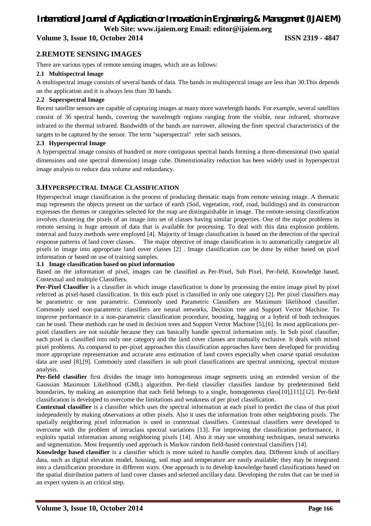# *International Journal of Application or Innovation in Engineering & Management (IJAIEM)* **Web Site: www.ijaiem.org Email: editor@ijaiem.org**

**Volume 3, Issue 10, October 2014 ISSN 2319 - 4847**

### **2.REMOTE SENSING IMAGES**

There are various types of remote sensing images, which are as follows:

#### **2.1 Multispectral Image**

A multispectral image consists of several bands of data. The bands in multispectral image are less than 30.This depends on the application and it is always less than 30 bands.

#### **2.2 Superspectral Image**

Recent satellite sensors are capable of capturing images at many more wavelength bands. For example, several satellites consist of 36 spectral bands, covering the wavelength regions ranging from the visible, near infrared, shortwave infrared to the thermal infrared. Bandwidth of the bands are narrower, allowing the finer spectral characteristics of the targets to be captured by the sensor. The term "superspectral" refer such sensors.

#### **2.3 Hyperspectral Image**

A hyperspectral image consists of hundred or more contiguous spectral bands forming a three-dimensional (two spatial dimensions and one spectral dimension) image cube. Dimenstionality reduction has been widely used in hyperspectral image analysis to reduce data volume and redundancy.

#### **3.HYPERSPECTRAL IMAGE CLASSIFICATION**

Hyperspectral image classification is the process of producing thematic maps from remote sensing image. A thematic map represents the objects present on the surface of earth (Soil, vegetation, roof, road, buildings) and its construction expresses the themes or categories selected for the map are distinguishable in image. The remote sensing classification involves clustering the pixels of an image into set of classes having similar properties. One of the major problems in remote sensing is huge amount of data that is available for processing. To deal with this data explosion problem, internal and fuzzy methods were employed [4]. Majority of Image classification is based on the detection of the spectral response patterns of land cover classes. The major objective of image classification is to automatically categorize all pixels in image into appropriate land cover classes [2] . Image classification can be done by either based on pixel information or based on use of training samples.

#### **3.1 Image classification based on pixel information**

Based on the information of pixel, images can be classified as Per-Pixel, Sub Pixel, Per-field, Knowledge based, Contextual and multiple Classifiers.

**Per-Pixel Classifier** is a classifier in which image classification is done by processing the entire image pixel by pixel referred as pixel-based classification. In this each pixel is classified in only one category [2]. Per pixel classifiers may be parametric or non parametric. Commonly used Parametric Classifiers are Maximum likelihood classifier. Commonly used non-parametric classifiers are neural networks, Decision tree and Support Vector Machine. To improve performance in a non-parametric classification procedure, boosting, bagging or a hybrid of both techniques can be used. These methods can be used in decision trees and Support Vector Machine [5],[6]. In most applications perpixel classifiers are not suitable because they can basically handle spectral information only. In Sub pixel classifier, each pixel is classified into only one category and the land cover classes are mutually exclusive. It deals with mixed pixel problems. As compared to per-pixel approaches this classification approaches have been developed for providing more appropriate representation and accurate area estimation of land covers especially when coarse spatial resolution data are used [8],[9]. Commonly used classifiers in sub pixel classifications are spectral unmixing, spectral mixture analysis.

**Per-field classifier** first divides the image into homogeneous image segments using an extended version of the Gaussian Maximum Likelihood (GML) algorithm. Per-field classifier classifies landuse by predetermined field boundaries, by making an assumption that each field belongs to a single, homogeneous class[10],[11],[12]. Per-field classification is developed to overcome the limitations and weakness of per pixel classification.

**Contextual classifier** is a classifier which uses the spectral information at each pixel to predict the class of that pixel independently by making observations at other pixels. Also it uses the information from other neighboring pixels. The spatially neighboring pixel information is used in contextual classifiers. Contextual classifiers were developed to overcome with the problem of intraclass spectral variations [13]. For improving the classification performance, it exploits spatial information among neighboring pixels [14]. Also it may use smoothing techniques, neural networks and segmentation. Most frequently used approach is Markov random field-based contextual classifiers [14].

**Knowledge based classifier** is a classifier which is more suited to handle complex data. Different kinds of ancillary data, such as digital elevation model, housing, soil map and temperature are easily available; they may be integrated into a classification procedure in different ways. One approach is to develop knowledge based classifications based on the spatial distribution pattern of land cover classes and selected ancillary data. Developing the rules that can be used in an expert system is an critical step.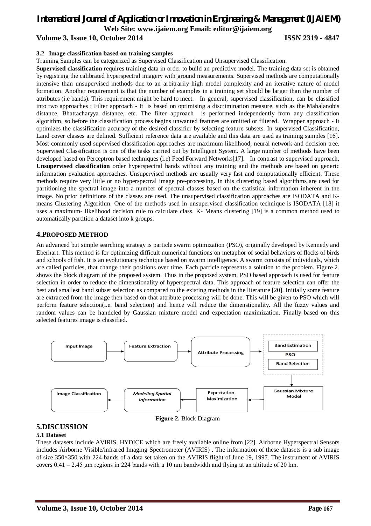# *International Journal of Application or Innovation in Engineering & Management (IJAIEM)* **Web Site: www.ijaiem.org Email: editor@ijaiem.org Volume 3, Issue 10, October 2014 ISSN 2319 - 4847**

#### **3.2 Image classification based on training samples**

Training Samples can be categorized as Supervised Classification and Unsupervised Classification.

**Supervised classification** requires training data in order to build an predictive model. The training data set is obtained by registring the calibrated hyperspectral imagery with ground measurements. Supervised methods are computationally intensive than unsupervised methods due to an arbitrarily high model complexity and an iterative nature of model formation. Another requirement is that the number of examples in a training set should be larger than the number of attributes (i.e bands). This requirement might be hard to meet. In general, supervised classification, can be classified into two approaches : Filter approach - It is based on optimising a discrimination measure, such as the Mahalanobis distance, Bhattacharyya distance, etc. The filter approach is performed independently from any classification algorithm, so before the classification process begins unwanted features are omitted or filtered. Wrapper approach - It optimizes the classification accuracy of the desired classifier by selecting feature subsets. In supervised Classification, Land cover classes are defined. Sufficient reference data are available and this data are used as training samples [16]. Most commonly used supervised classification approaches are maximum likelihood, neural network and decision tree. Supervised Classification is one of the tasks carried out by Intelligent System. A large number of methods have been developed based on Perceptron based techniques (i.e) Feed Forward Networks[17]. In contrast to supervised approach, **Unsupervised classification** order hyperspectral bands without any training and the methods are based on generic information evaluation approaches. Unsupervised methods are usually very fast and computationally efficient. These methods require very little or no hyperspectral image pre-processing. In this clustering based algorithms are used for partitioning the spectral image into a number of spectral classes based on the statistical information inherent in the image. No prior definitions of the classes are used. The unsupervised classification approaches are ISODATA and Kmeans Clustering Algorithm. One of the methods used in unsupervised classification technique is ISODATA [18] it uses a maximum- likelihood decision rule to calculate class. K- Means clustering [19] is a common method used to automatically partition a dataset into k groups.

#### **4.PROPOSED METHOD**

An advanced but simple searching strategy is particle swarm optimization (PSO), originally developed by Kennedy and Eberhart. This method is for optimizing difficult numerical functions on metaphor of social behaviors of flocks of birds and schools of fish. It is an evolutionary technique based on swarm intelligence. A swarm consists of individuals, which are called particles, that change their positions over time. Each particle represents a solution to the problem. Figure 2. shows the block diagram of the proposed system. Thus in the proposed system, PSO based approach is used for feature selection in order to reduce the dimenstionality of hyperspectral data. This approach of feature selection can offer the best and smallest band subset selection as compared to the existing methods in the literature [20]. Initially some feature are extracted from the image then based on that attribute processing will be done. This will be given to PSO which will perform feature selection(i.e. band selection) and hence will reduce the dimenstionality. All the fuzzy values and random values can be handeled by Gaussian mixture model and expectation maximization. Finally based on this selected features image is classified.



## **5.DISCUSSION**

#### **5.1 Dataset**

These datasets include AVIRIS, HYDICE which are freely available online from [22]. Airborne Hyperspectral Sensors includes Airborne Visible/infrared Imaging Spectrometer (AVIRIS) . The information of these datasets is a sub image of size 350×350 with 224 bands of a data set taken on the AVIRIS flight of June 19, 1997. The instrument of AVIRIS covers  $0.41 - 2.45$  μm regions in 224 bands with a 10 nm bandwidth and flying at an altitude of 20 km.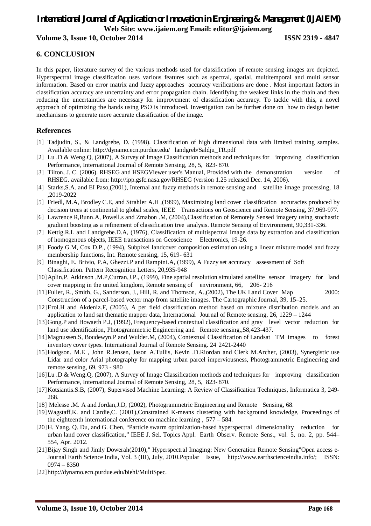# *International Journal of Application or Innovation in Engineering & Management (IJAIEM)* **Web Site: www.ijaiem.org Email: editor@ijaiem.org**

# **Volume 3, Issue 10, October 2014 ISSN 2319 - 4847**

# **6. CONCLUSION**

In this paper, literature survey of the various methods used for classification of remote sensing images are depicted. Hyperspectral image classification uses various features such as spectral, spatial, multitemporal and multi sensor information. Based on error matrix and fuzzy approaches accuracy verifications are done . Most important factors in classification accuracy are uncertainty and error propagation chain. Identifying the weakest links in the chain and then reducing the uncertainties are necessary for improvement of classification accuracy. To tackle with this, a novel approach of optimizing the bands using PSO is introduced. Investigation can be further done on how to design better mechanisms to generate more accurate classification of the image.

#### **References**

- [1] Tadjudin, S., & Landgrebe, D. (1998). Classification of high dimensional data with limited training samples. Available online: http://dynamo.ecn.purdue.edu/ landgreb/Saldju\_TR.pdf
- [2] Lu .D & Weng.Q, (2007), A Survey of Image Classification methods and techniques for improving classification Performance, International Journal of Remote Sensing, 28, 5, 823- 870.
- [3] Tilton, J. C. (2006). RHSEG and HSEGViewer user's Manual, Provided with the demonstration version of RHSEG. available from: http://ipp.gsfc.nasa.gov/RHSEG (version 1.25 released Dec. 14, 2006).
- [4] Starks,S.A. and EI Paso,(2001), Internal and fuzzy methods in remote sensing and satellite image processing, 18 ,2019-2022
- [5] Friedl, M.A, Brodley C.E, and Strahler A.H ,(1999), Maximizing land cover classification accuracies produced by decision trees at continental to global scales, IEEE Transactions on Geoscience and Remote Sensing, 37,969-977.
- [6] Lawrence R,Bunn.A, Powell.s and Zmabon .M, (2004),Classification of Remotely Sensed imagery using stochastic gradient boosting as a refinement of classification tree analysis. Remote Sensing of Environment, 90,331-336.
- [7] Kettig.R.L and Landgrebe.D.A, (1976), Classification of multispectral image data by extraction and classification of homogenous objects, IEEE transactions on Geoscience Electronics, 19-26.
- [8] Foody G.M, Cox D.P., (1994), Subpixel landcover composition estimation using a linear mixture model and fuzzy membership functions, Int. Remote sensing, 15, 619- 631
- [9] Binaghi, E. Brivio, P.A, Ghezzi.P and Rampini.A, (1999), A Fuzzy set accuracy assessment of Soft Classification. Pattern Recognition Letters, 20,935-948
- [10]Aplin,P. Atkinson ,M.P,Curran,J.P., (1999), Fine spatial resolution simulated satellite sensor imagery for land cover mapping in the united kingdom, Remote sensing of environment, 66, 206- 216
- [11]Fuller, R., Smith, G., Sanderson, J., Hill, R. and Thomson, A.,(2002), The UK Land Cover Map 2000: Construction of a parcel-based vector map from satellite images. The Cartographic Journal, 39, 15–25.
- [12]Erol.H and Akdeniz.F, (2005), A per field classification method based on mixture distribution models and an application to land sat thematic mapper data, International Journal of Remote sensing, 26, 1229 – 1244
- [13]Gong.P and Howaeth P.J, (1992), Frequency-based contextual classification and gray level vector reduction for land use identification, Photogrammetric Engineering and Remote sensing,,58,423-437.
- [14]Magnussen.S, Boudewyn.P and Wulder.M, (2004), Contextual Classification of Landsat TM images to forest inventory cover types. International Journal of Remote Sensing. 24 2421-2440
- [15]Hodgson. M.E , John R.Jensen, Jason A.Tullis, Kevin .D.Riordan and Clerk M.Archer, (2003), Synergistic use Lidar and color Arial photography for mapping urban parcel imperviousness, Photogrammetric Engineering and remote sensing, 69, 973 - 980
- [16]Lu .D & Weng.Q, (2007), A Survey of Image Classification methods and techniques for improving classification Performance, International Journal of Remote Sensing, 28, 5, 823- 870.
- [17]Kotsiantis.S.B, (2007), Supervised Machine Learning: A Review of Classification Techniques, Informatica 3, 249- 268.
- [18] Melesse .M. A and Jordan,J.D, (2002), Photogrammetric Engineering and Remote Sensing, 68.
- [19]Wagstaff,K. and Cardie,C. (2001),Constrained K-means clustering with background knowledge, Proceedings of the eighteenth international conference on machine learning , 577 – 584.
- [20]H. Yang, Q. Du, and G. Chen, "Particle swarm optimization-based hyperspectral dimensionality reduction for urban land cover classification," IEEE J. Sel. Topics Appl. Earth Observ. Remote Sens., vol. 5, no. 2, pp. 544– 554, Apr. 2012.
- [21]Bijay Singh and Jimly Dowerah(2010)," Hyperspectral Imaging: New Generation Remote Sensing"Open access e-Journal Earth Science India, Vol. 3 (III), July, 2010.Popular Issue, http://www.earthscienceindia.info/; ISSN: 0974 – 8350
- [22]http://dynamo.ecn.purdue.edu/biehl/MultiSpec.